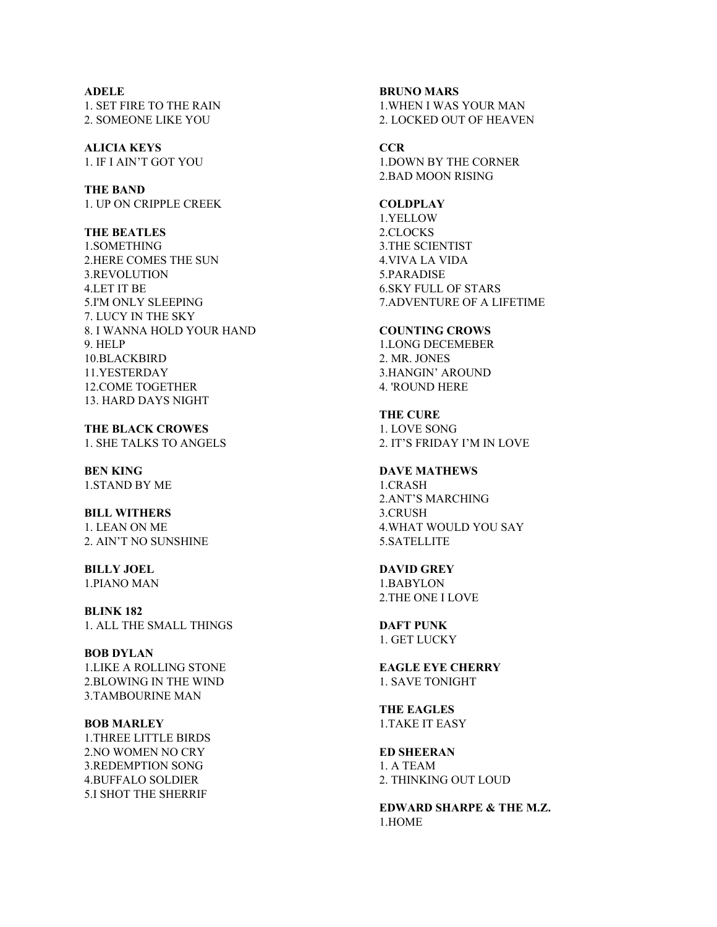# **ADELE** 1. SET FIRE TO THE RAIN

2. SOMEONE LIKE YOU

**ALICIA KEYS** 1. IF I AIN'T GOT YOU

**THE BAND** 1. UP ON CRIPPLE CREEK

**THE BEATLES**

1.SOMETHING 2.HERE COMES THE SUN 3.REVOLUTION 4.LET IT BE 5.I'M ONLY SLEEPING 7. LUCY IN THE SKY 8. I WANNA HOLD YOUR HAND 9. HELP 10.BLACKBIRD 11.YESTERDAY 12.COME TOGETHER 13. HARD DAYS NIGHT

**THE BLACK CROWES** 1. SHE TALKS TO ANGELS

**BEN KING** 1.STAND BY ME

#### **BILL WITHERS** 1. LEAN ON ME 2. AIN'T NO SUNSHINE

**BILLY JOEL**

1.PIANO MAN

**BLINK 182** 1. ALL THE SMALL THINGS

**BOB DYLAN** 1.LIKE A ROLLING STONE 2.BLOWING IN THE WIND 3.TAMBOURINE MAN

#### **BOB MARLEY** 1.THREE LITTLE BIRDS

2.NO WOMEN NO CRY 3.REDEMPTION SONG 4.BUFFALO SOLDIER 5.I SHOT THE SHERRIF

# **BRUNO MARS** 1.WHEN I WAS YOUR MAN 2. LOCKED OUT OF HEAVEN

**CCR** 1.DOWN BY THE CORNER 2.BAD MOON RISING

**COLDPLAY**

1.YELLOW 2.CLOCKS 3.THE SCIENTIST 4.VIVA LA VIDA 5.PARADISE 6.SKY FULL OF STARS 7.ADVENTURE OF A LIFETIME

## **COUNTING CROWS**

1.LONG DECEMEBER 2. MR. JONES 3.HANGIN' AROUND 4. 'ROUND HERE

**THE CURE** 1. LOVE SONG 2. IT'S FRIDAY I'M IN LOVE

**DAVE MATHEWS** 1.CRASH 2.ANT'S MARCHING 3.CRUSH 4.WHAT WOULD YOU SAY 5.SATELLITE

## **DAVID GREY**

1.BABYLON 2.THE ONE I LOVE

**DAFT PUNK** 1. GET LUCKY

**EAGLE EYE CHERRY** 1. SAVE TONIGHT

**THE EAGLES** 1.TAKE IT EASY

**ED SHEERAN** 1. A TEAM 2. THINKING OUT LOUD

**EDWARD SHARPE & THE M.Z.** 1.HOME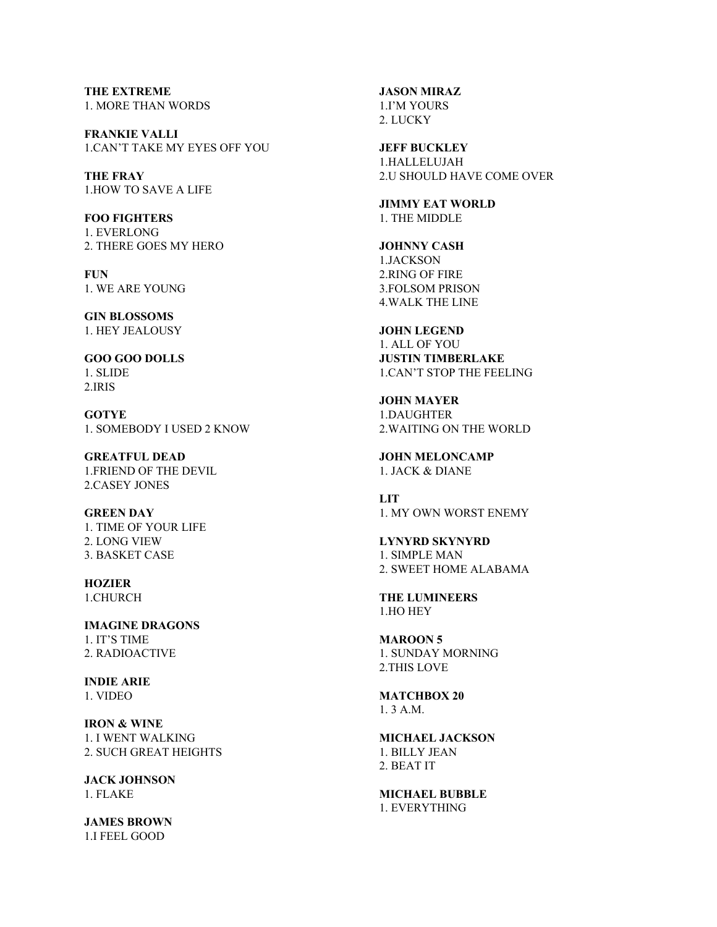**THE EXTREME** 1. MORE THAN WORDS

**FRANKIE VALLI** 1.CAN'T TAKE MY EYES OFF YOU

**THE FRAY** 1.HOW TO SAVE A LIFE

**FOO FIGHTERS** 1. EVERLONG 2. THERE GOES MY HERO

**FUN** 1. WE ARE YOUNG

**GIN BLOSSOMS** 1. HEY JEALOUSY

**GOO GOO DOLLS** 1. SLIDE 2.IRIS

**GOTYE** 1. SOMEBODY I USED 2 KNOW

**GREATFUL DEAD** 1.FRIEND OF THE DEVIL 2.CASEY JONES

**GREEN DAY** 1. TIME OF YOUR LIFE 2. LONG VIEW 3. BASKET CASE

**HOZIER** 1.CHURCH

**IMAGINE DRAGONS** 1. IT'S TIME 2. RADIOACTIVE

**INDIE ARIE** 1. VIDEO

**IRON & WINE** 1. I WENT WALKING 2. SUCH GREAT HEIGHTS

**JACK JOHNSON** 1. FLAKE

**JAMES BROWN** 1.I FEEL GOOD

**JASON MIRAZ** 1.I'M YOURS 2. LUCKY

**JEFF BUCKLEY** 1.HALLELUJAH 2.U SHOULD HAVE COME OVER

**JIMMY EAT WORLD** 1. THE MIDDLE

**JOHNNY CASH** 1.JACKSON 2.RING OF FIRE 3.FOLSOM PRISON 4.WALK THE LINE

**JOHN LEGEND** 1. ALL OF YOU **JUSTIN TIMBERLAKE** 1.CAN'T STOP THE FEELING

**JOHN MAYER** 1.DAUGHTER 2.WAITING ON THE WORLD

**JOHN MELONCAMP** 1. JACK & DIANE

**LIT** 1. MY OWN WORST ENEMY

**LYNYRD SKYNYRD** 1. SIMPLE MAN 2. SWEET HOME ALABAMA

**THE LUMINEERS** 1.HO HEY

**MAROON 5** 1. SUNDAY MORNING 2.THIS LOVE

**MATCHBOX 20** 1. 3 A.M.

**MICHAEL JACKSON** 1. BILLY JEAN 2. BEAT IT

**MICHAEL BUBBLE** 1. EVERYTHING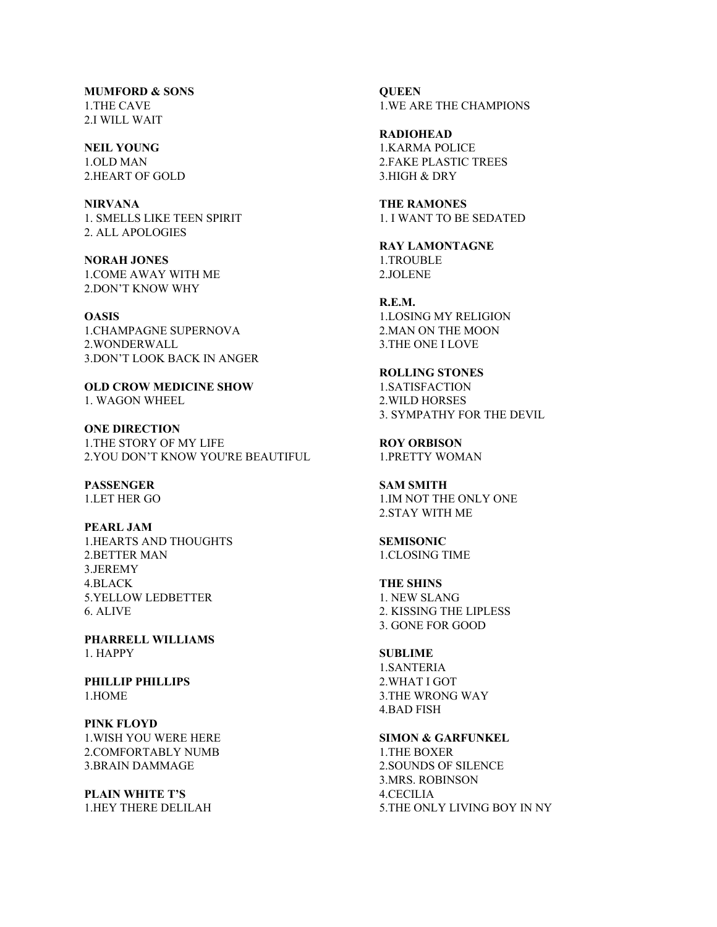**MUMFORD & SONS** 1.THE CAVE 2.I WILL WAIT

**NEIL YOUNG** 1.OLD MAN 2.HEART OF GOLD

**NIRVANA** 1. SMELLS LIKE TEEN SPIRIT 2. ALL APOLOGIES

**NORAH JONES** 1.COME AWAY WITH ME 2.DON'T KNOW WHY

**OASIS** 1.CHAMPAGNE SUPERNOVA 2.WONDERWALL 3.DON'T LOOK BACK IN ANGER

**OLD CROW MEDICINE SHOW** 1. WAGON WHEEL

**ONE DIRECTION** 1.THE STORY OF MY LIFE 2.YOU DON'T KNOW YOU'RE BEAUTIFUL

**PASSENGER** 1.LET HER GO

**PEARL JAM** 1.HEARTS AND THOUGHTS 2.BETTER MAN 3.JEREMY 4.BLACK 5.YELLOW LEDBETTER 6. ALIVE

**PHARRELL WILLIAMS** 1. HAPPY

**PHILLIP PHILLIPS** 1.HOME

**PINK FLOYD** 1.WISH YOU WERE HERE 2.COMFORTABLY NUMB 3.BRAIN DAMMAGE

**PLAIN WHITE T'S** 1.HEY THERE DELILAH **QUEEN** 1.WE ARE THE CHAMPIONS

**RADIOHEAD** 1.KARMA POLICE 2.FAKE PLASTIC TREES 3.HIGH & DRY

**THE RAMONES** 1. I WANT TO BE SEDATED

**RAY LAMONTAGNE** 1.TROUBLE 2.JOLENE

**R.E.M.** 1.LOSING MY RELIGION 2.MAN ON THE MOON 3.THE ONE I LOVE

**ROLLING STONES** 1.SATISFACTION 2.WILD HORSES 3. SYMPATHY FOR THE DEVIL

**ROY ORBISON** 1.PRETTY WOMAN

**SAM SMITH** 1.IM NOT THE ONLY ONE 2.STAY WITH ME

**SEMISONIC** 1.CLOSING TIME

**THE SHINS** 1. NEW SLANG 2. KISSING THE LIPLESS 3. GONE FOR GOOD

**SUBLIME** 1.SANTERIA 2.WHAT I GOT 3.THE WRONG WAY 4.BAD FISH

**SIMON & GARFUNKEL** 1.THE BOXER 2.SOUNDS OF SILENCE 3.MRS. ROBINSON 4.CECILIA 5.THE ONLY LIVING BOY IN NY